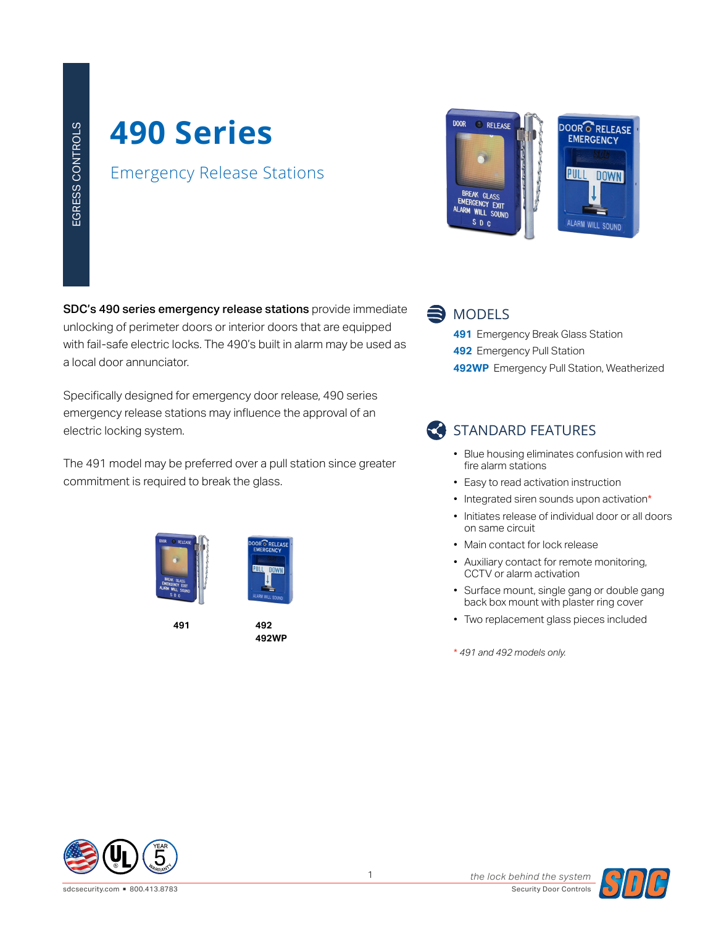# **490 Series**

#### Emergency Release Stations

SDC's 490 series emergency release stations provide immediate <a>
MODELS unlocking of perimeter doors or interior doors that are equipped with fail-safe electric locks. The 490's built in alarm may be used as a local door annunciator.

Specifically designed for emergency door release, 490 series emergency release stations may influence the approval of an electric locking system.

The 491 model may be preferred over a pull station since greater commitment is required to break the glass.



**491 492**

**492WP**

RELEAS





- **491** Emergency Break Glass Station **492** Emergency Pull Station
- **492WP** Emergency Pull Station, Weatherized

### STANDARD FEATURES

- Blue housing eliminates confusion with red fire alarm stations
- Easy to read activation instruction
- Integrated siren sounds upon activation\*
- Initiates release of individual door or all doors on same circuit
- Main contact for lock release
- Auxiliary contact for remote monitoring, CCTV or alarm activation
- Surface mount, single gang or double gang back box mount with plaster ring cover
- Two replacement glass pieces included

\* *491 and 492 models only.*